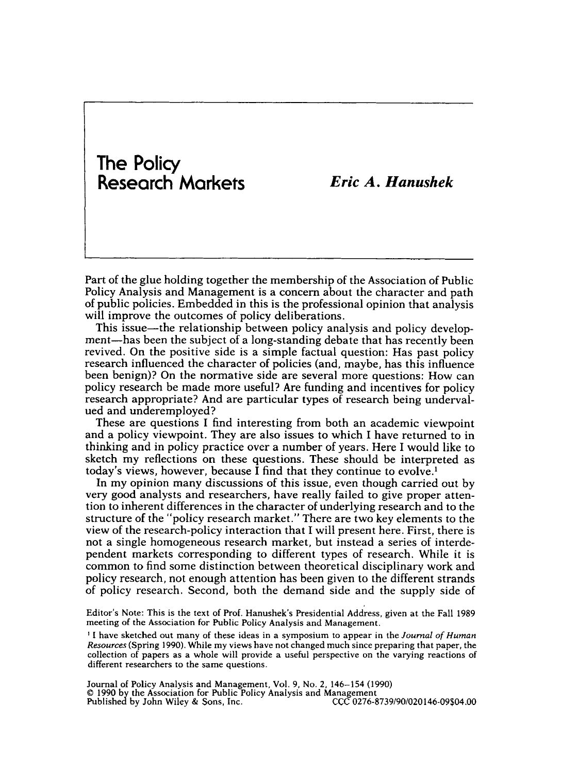# **The** Policy

# *Eric A. Hanushek*

Part of the glue holding together the membership of the Association of Public Policy Analysis and Management is a concern about the character and path of public policies. Embedded in this is the professional opinion that analysis will improve the outcomes of policy deliberations.

This issue—the relationship between policy analysis and policy development-has been the subject of a long-standing debate that has recently been revived. On the positive side is a simple factual question: Has past policy research influenced the character **of** policies (and, maybe, has this influence been benign)? On the normative side are several more questions: How can policy research be made more useful? Are funding and incentives for policy research appropriate? And are particular types of research being undervalued and underemployed?

These are questions **I** find interesting from both an academic viewpoint and a policy viewpoint. They are also issues to which I have returned to in thinking and in policy practice over a number **of** years. Here I would like to sketch my reflections on these questions. These should be interpreted as today's views, however, because **I** find that they continue to evolve.'

In my opinion many discussions of this issue, even though carried out by very good analysts and researchers, have really failed to give proper attention to inherent differences in the character of underlying research and to the structure of the "policy research market." There are two key elements to the view of the research-policy interaction that I will present here. First, there is not a single homogeneous research market, but instead a series of interdependent markets corresponding to different types of research. While it is common to find some distinction between theoretical disciplinary work and policy research, not enough attention has been given to the different strands of policy research. Second, both the demand side and the supply side of

**Editor's Note: This is the text of Prof. Hanushek's Presidential Address, given at the Fall 1989 meeting of the Association for Public Policy Analysis and Management.** 

**I I have sketched out many of these ideas in a symposium to appear in the** *Journal of Human Resources* **(Spring 1990). While my views have not changed much since preparing that paper, the collection of papers as a whole will provide a useful perspective on the varying reactions of different researchers to the same questions.** 

**Journal of Policy Analysis and Management, Vol. 9. No. 2, 146-154 (1990)**  *0* **1990 b the Association for Public Policy Analysis and Management**  Published by John Wiley & Sons, Inc.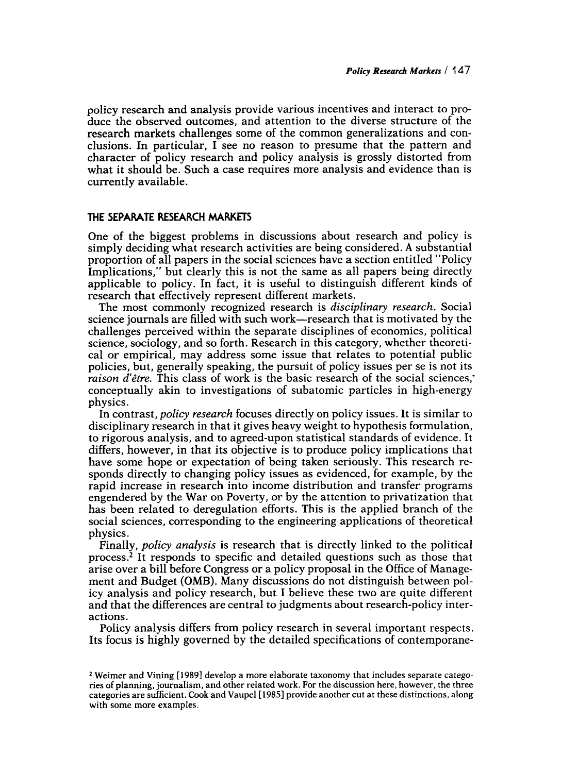policy research and analysis provide various incentives and interact to produce the observed outcomes, and attention to the diverse structure of the research markets challenges some of the common generalizations and conclusions. In particular, I see no reason to presume that the pattern and character of policy research and policy analysis is grossly distorted from what it should be. Such a case requires more analysis and evidence than is currently available.

### **THE SEPARATE RESEARCH MARKETS**

One of the biggest problems in discussions about research and policy is simply deciding what research activities are being considered. **A** substantial proportion of all papers in the social sciences have a section entitled "Policy Implications," but clearly this is not the same as all papers being directly applicable to policy. In fact, it is useful to distinguish different kinds of research that effectively represent different markets.

The most commonly recognized research is *disciplinary research.* Social science journals are filled with such work-research that is motivated by the challenges perceived within the separate disciplines of economics, political science, sociology, and *so* forth. Research in this category, whether theoretical or empirical, may address some issue that relates to potential public policies, but, generally speaking, the pursuit of policy issues per se is not its *raison d'être.* This class of work is the basic research of the social sciences, conceptually akin to investigations of subatomic particles in high-energy physics.

In contrast, *policy research* focuses directly on policy issues. It is similar to disciplinary research in that it gives heavy weight to hypothesis formulation, to rigorous analysis, and to agreed-upon statistical standards of evidence. It differs, however, in that its objective is to produce policy implications that have some hope or expectation of being taken seriously. This research responds directly to changing policy issues as evidenced, for example, by the rapid increase in research into income distribution and transfer programs engendered by the War on Poverty, or by the attention to privatization that has been related to deregulation efforts. This is the applied branch of the social sciences, corresponding to the engineering applications of theoretical physics.

Finally, *policy analysis* is research that is directly linked to the political process.2 It responds to specific and detailed questions such as those that arise over a bill before Congress or a policy proposal in the Office **of** Management and Budget (OMB). Many discussions do not distinguish between policy analysis and policy research, but I believe these two are quite different and that the differences are central to judgments about research-policy interactions.

Policy analysis differs from policy research in several important respects. Its focus **is** highly governed by the detailed specifications of contemporane-

**<sup>2</sup>** Weimer and Vining [1989] develop a more elaborate taxonomy that includes separate categories of planning, journalism, and other related work. For the discussion here, however, the three categories are sufficient. **Cook** and Vaupel[1985] provide another cut at these distinctions, along with some more examples.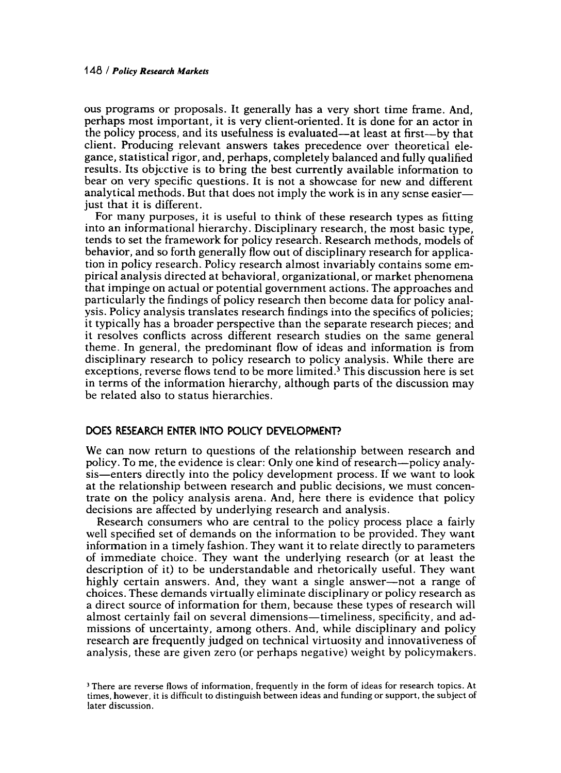ous programs or proposals. It generally has a very short time frame. And, perhaps most important, it is very client-oriented. It is done for an actor in the policy process, and its usefulness is evaluated-at least at first-by that client. Producing relevant answers takes precedence over theoretical elegance, statistical rigor, and, perhaps, completely balanced and fully qualified results. Its objective is to bring the best currently available information to bear on very specific questions. It is not a showcase for new and different analytical methods. But that does not imply the work is in any sense easierjust that it is different.

For many purposes, it **is** useful to think of these research types **as** fitting into an informational hierarchy. Disciplinary research, the most basic type, tends to set the framework for policy research. Research methods, models of behavior, and so forth generally flow out of disciplinary research for application in policy research. Policy research almost invariably contains some empirical analysis directed at behavioral, organizational, or market phenomena that impinge on actual or potential government actions. The approaches and particularly the findings of policy research then become data for policy analysis. Policy analysis translates research findings into the specifics of policies; it typically has a broader perspective than the separate research pieces; and it resolves conflicts across different research studies on the same general theme. In general, the predominant flow of ideas and information is from disciplinary research to policy research to policy analysis. While there are exceptions, reverse flows tend to be more limited.) This discussion here is set in terms of the information hierarchy, although parts of the discussion may be related also to status hierarchies.

## **DOES RESEARCH ENTER INTO POLICY DEVELOPMENT?**

We can now return to questions of the relationship between research and policy. To me, the evidence is clear: Only one kind of research-policy analysis-enters directly into the policy development process. **If** we want to look at the relationship between research and public decisions, we must concentrate on the policy analysis arena. And, here there is evidence that policy decisions are affected by underlying research and analysis.

Research consumers who are central to the policy process place a fairly well specified set of demands on the information to be provided. They want information in a timely fashion. They want it to relate directly to parameters of immediate choice. They want the underlying research (or at least the description of it) to be understandable and rhetorically useful. They want highly certain answers. And, they want a single answer—not a range of choices. These demands virtually eliminate disciplinary or policy research as a direct source **of** information for them, because these types of research will almost certainly fail on several dimensions-timeliness, specificity, and admissions of uncertainty, among others. And, while disciplinary and policy research are frequently judged on technical virtuosity and innovativeness of analysis, these are given zero (or perhaps negative) weight by policymakers.

**There are reverse flows of information, frequently in the form of ideas** for **research topics. At times, however, it is difficult to distinguish between ideas and funding or support, the subject of later discussion.**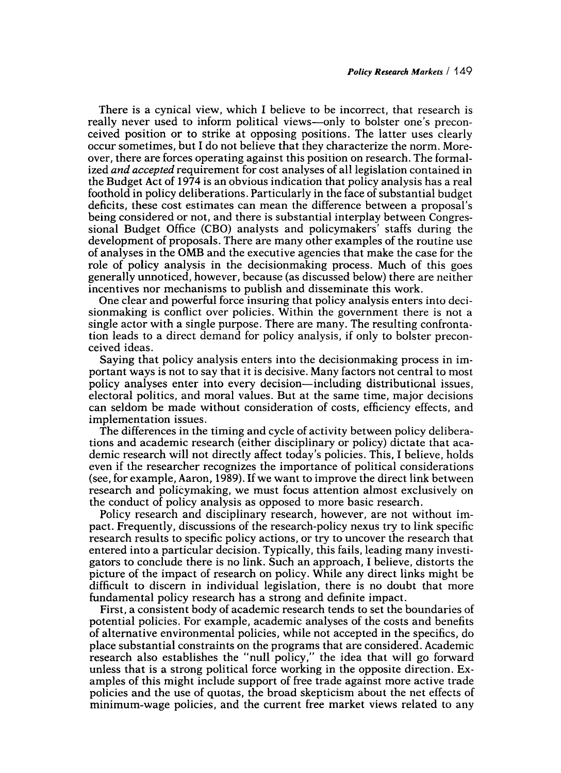There is a cynical view, which I believe to be incorrect, that research is really never used to inform political views-only to bolster one's preconceived position or to strike at opposing positions. The latter uses clearly occur sometimes, but I do not believe that they characterize the norm. Moreover, there are forces operating against this position on research. The formalized *and accepted* requirement for cost analyses of all legislation contained in the Budget Act of 1974 is an obvious indication that policy analysis has a real foothold in policy deliberations. Particularly in the face of substantial budget deficits, these cost estimates can mean the difference between a proposal's being considered or not, and there is substantial interplay between Congressional Budget Office (CBO) analysts and policymakers' staffs during the development of proposals. There are many other examples of the routine use of analyses in the OMB and the executive agencies that make the case for the role of policy analysis in the decisionmaking process. Much of this goes generally unnoticed, however, because (as discussed below) there are neither incentives nor mechanisms to publish and disseminate this work.

One clear and powerful force insuring that policy analysis enters into decisionmaking is conflict over policies. Within the government there is not a single actor with a single purpose. There are many. The resulting confrontation leads to a direct demand for policy analysis, if only to bolster preconceived ideas.

Saying that policy analysis enters into the decisionmaking process in important ways is not to say that it is decisive. Many factors not central to most policy analyses enter into every decision-including distributional issues, electoral politics, and moral values. But at the same time, major decisions can seldom be made without consideration of costs, efficiency effects, and implementation issues.

The differences in the timing and cycle of activity between policy deliberations and academic research (either disciplinary or policy) dictate that academic research will not directly affect today's policies, This, I believe, holds even if the researcher recognizes the importance of political considerations (see, for example, Aaron, 1989). If we want to improve the direct link between research and policymaking, we must focus attention almost exclusively on the conduct of policy analysis as opposed to more basic research.

Policy research and disciplinary research, however, are not without impact. Frequently, discussions of the research-policy nexus try to link specific research results to specific policy actions, or try to uncover the research that entered into a particular decision. Typically, this fails, leading many investigators to conclude there is no link. Such an approach, I believe, distorts the picture of the impact of research on policy. While any direct links might be difficult to discern in individual legislation, there is no doubt that more fundamental policy research has a strong and definite impact.

First, a consistent body of academic research tends to set the boundaries of potential policies. For example, academic analyses of the costs and benefits of alternative environmental policies, while not accepted in the specifics, do place substantial constraints on the programs that are considered. Academic research also establishes the "null policy," the idea that will go forward unless that is a strong political force working in the opposite direction. Examples of this might include support of free trade against more active trade policies and the use of quotas, the broad skepticism about the net effects of minimum-wage policies, and the current free market views related to any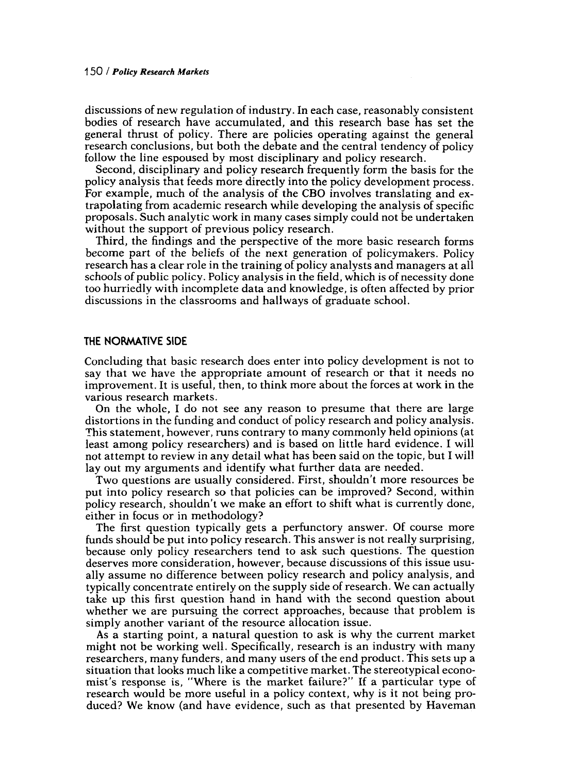discussions of new regulation of industry. In each case, reasonably consistent bodies of research have accumulated, and this research base has set the general thrust of policy. There are policies operating against the general research conclusions, but both the debate and the central tendency of policy follow the line espoused by most disciplinary and policy research.

Second, disciplinary and policy research frequently form the basis for the policy analysis that feeds more directly into the policy development process. For example, much of the analysis **of** the **CBO** involves translating and extrapolating from academic research while developing the analysis of specific proposals. Such analytic work in many cases simply could not be undertaken without the support of previous policy research.

Third, the findings and the perspective of the more basic research forms become part of the beliefs of the next generation of policymakers. Policy research has a clear role in the training of policy analysts and managers at all schools **of** public policy. Policy analysis in the field, which is **of** necessity done too hurriedly with incomplete data and knowledge, is often affected by prior discussions in the classrooms and hallways of graduate school.

### **THE NORMATIVE SIDE**

Concluding that basic research does enter into policy development is not to say that we have the appropriate amount of research or that it needs no improvement. It is useful, then, to think more about the forces at work in the various research markets.

On the whole, I do not see any reason to presume that there are large distortions in the funding and conduct of policy research and policy analysis. This statement, however, runs contrary to many commonly held opinions (at least among policy researchers) and is based on little hard evidence. I will not attempt to review in any detail what has been said on the topic, but I will lay out my arguments and identify what further data are needed.

Two questions are usually considered. First, shouldn't more resources be put into policy research so that policies can be improved? Second, within policy research, shouldn't we make an effort to shift what is currently done, either in focus or in methodology?

The first question typically gets a perfunctory answer. Of course more funds should be put into policy research. This answer is not really surprising, because only policy researchers tend *to* ask such questions. The question deserves more consideration, however, because discussions of this issue usually assume no difference between policy research and policy analysis, and typically concentrate entirely on the supply side of research. We can actually take up this first question hand in hand with the second question about whether we are pursuing the correct approaches, because that problem is simply another variant of the resource allocation issue.

**As** a starting point, a natural question to ask is why the current market might not be working well. Specifically, research is an industry with many researchers, many funders, and many users of the end product. This sets up a situation that looks much like a competitive market. The stereotypical economist's response is, "Where is the market failure?" **If** a particular type of research would be more useful in a policy context, why is it not being produced? We know (and have evidence, such as that presented by Haveman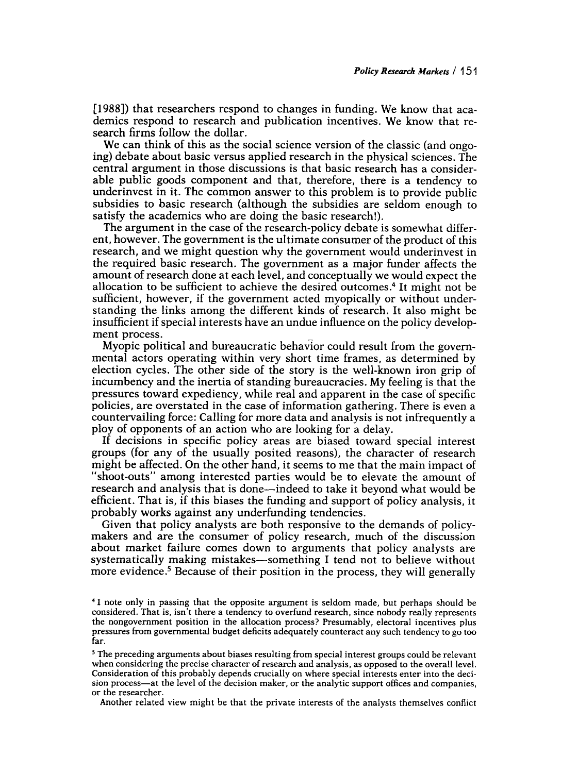[1988]) that researchers respond to changes in funding. We know that academics respond to research and publication incentives. We know that research firms follow the dollar.

We can think **of** this as the social science version of the classic (and ongoing) debate about basic versus applied research in the physical sciences. The central argument in those discussions is that basic research has a considerable public goods component and that, therefore, there is a tendency to underinvest in it. The common answer to this problem is to provide public subsidies to basic research (although the subsidies are seldom enough to satisfy the academics who are doing the basic research!).

The argument in the case of the research-policy debate is somewhat different, however. The government is the ultimate consumer of the product of this research, and we might question why the government would underinvest in the required basic research. The government as a major funder affects the amount of research done at each level, and conceptually we would expect the allocation to be sufficient to achieve the desired outcomes." It might not be sufficient, however, if the government acted myopically or without understanding the links among the different kinds of research. It also might be insufficient if special interests have an undue influence on the policy development process.

Myopic political and bureaucratic behavior could result from the governmental actors operating within very short time frames, as determined by election cycles. The other side of the story is the well-known iron grip of incumbency and the inertia of standing bureaucracies. My feeling is that the pressures toward expediency, while real and apparent in the case **of** specific policies, are overstated in the case of information gathering. There is even a countervailing force: Calling for more data and analysis is not infrequently a ploy of opponents of an action who are looking for a delay.

If decisions in specific policy areas are biased toward special interest groups (for any of the usually posited reasons), the character of research might be affected. On the other hand, it seems to me that the main impact of "shoot-outs" among interested parties would be to elevate the amount of research and analysis that is done-indeed to take it beyond what would be efficient. That is, if this biases the funding and support **of** policy analysis, it probably works against any underfinding tendencies.

Given that policy analysts are both responsive to the demands of policymakers and are the consumer of policy research, much **of** the discussion about market failure comes down to arguments that policy analysts are systematically making mistakes-something I tend not to believe without more evidence.<sup>5</sup> Because of their position in the process, they will generally

**Another related view might be that the private interests** of **the analysts themselves conflict** 

**<sup>41</sup> note only in passing that the opposite argument is seldom made, but perhaps should be considered. That is, isn't there a tendency to overfund research, since nobody really represents the nongovernment position in the allocation process? Presumably, electoral incentives plus pressures from governmental budget deficits adequately counteract any such tendency to go too far.** 

**The preceding arguments about biases resulting from special interest groups could be relevant when considering the precise character of research and analysis, as opposed to the overall level. Consideration of this probably depends crucially on where special interests enter into the decision process-at the level of the decision maker, or the analytic support offices and companies,**  or **the researcher.**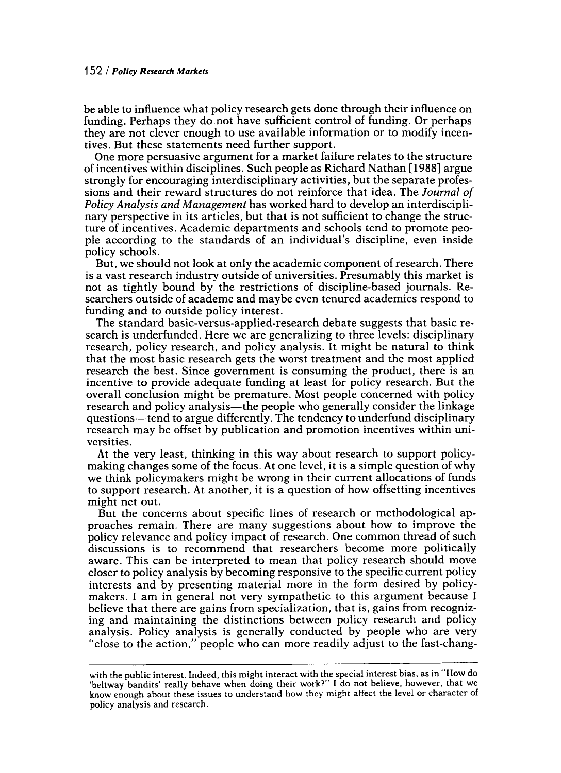#### **152** *1 Policy Research Markets*

be able to influence what policy research gets done through their influence on funding. Perhaps they do not have sufficient control of funding. Or perhaps they are not clever enough to use available information or to modify incentives. But these statements need further support.

One more persuasive argument for a market failure relates to the structure of incentives within disciplines. Such people as Richard Nathan **[1988]** argue strongly **for** encouraging interdisciplinary activities, but the separate professions and their reward structures do not reinforce that idea. The *Journal of Policy Analysis and Management* has worked hard to develop an interdisciplinary perspective in its articles, but that is not sufficient to change the structure of incentives. Academic departments and schools tend to promote people according to the standards of an individual's discipline, even inside policy schools.

But, we should not look at only the academic component of research. There is a vast research industry outside of universities. Presumably this market is not as tightly bound by the restrictions of discipline-based journals. Researchers outside of academe and maybe even tenured academics respond to funding and to outside policy interest.

The standard **basic-versus-applied-research** debate suggests that basic research is underfunded. Here we are generalizing to three levels: disciplinary research, policy research, and policy analysis. It might be natural to think that the most basic research gets the worst treatment and the most applied research the best. Since government is consuming the product, there is an incentive to provide adequate funding at least for policy research. But the overall conclusion might be premature. Most people concerned with policy research and policy analysis—the people who generally consider the linkage questions-tend to argue differently. The tendency to underfund disciplinary research may be offset by publication and promotion incentives within universities.

At the very least, thinking in this way about research to support policymaking changes some of the focus. At one level, it is a simple question of why we think policymakers might be wrong in their current allocations of funds to support research. At another, it is a question of how offsetting incentives might net out.

But the concerns about specific lines of research or methodological approaches remain. There are many suggestions about how to improve the policy relevance and policy impact of research. One common thread of such discussions is to recommend that researchers become more politically aware. This can be interpreted to mean that policy research should move closer to policy analysis by becoming responsive to the specific current policy interests and by presenting material more in the form desired by policymakers. I am in general not very sympathetic to this argument because **I**  believe that there are gains from specialization, that is, gains from recognizing and maintaining the distinctions between policy research and policy analysis. Policy analysis is generally conducted by people who are very "close to the action," people who can more readily adjust to the fast-chang-

**with the public interest. Indeed, this might interact with the special interest bias, as in "How do 'beltway bandits' really behave when doing their work?" I do not believe, however, that we know enough about these issues to understand how they might affect the level or character of policy analysis and research.**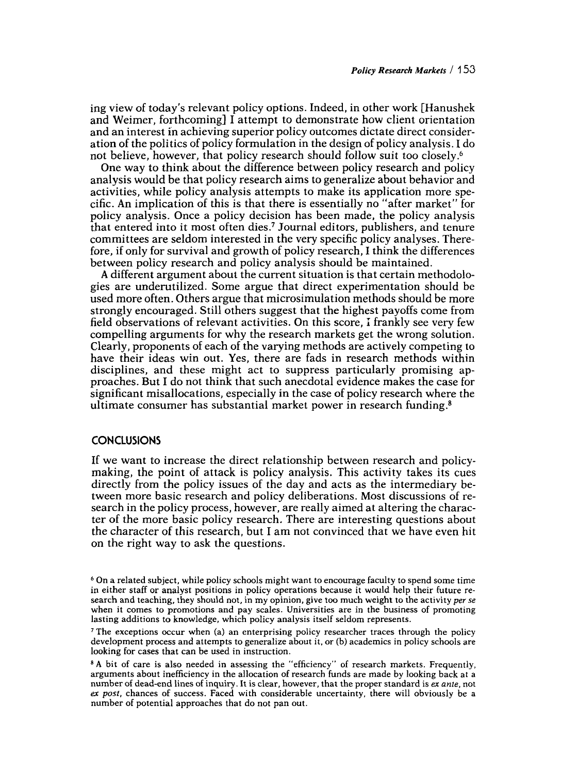ing view of today's relevant policy options. Indeed, in other work [Hanushek and Weimer, forthcoming] I attempt to demonstrate how client orientation and an interest in achieving superior policy outcomes dictate direct consideration of the politics of policy formulation in the design of policy analysis. I do not believe, however, that policy research should follow suit too closely.6

One way to think about the difference between policy research and policy analysis would be that policy research aims to generalize about behavior and activities, while policy analysis attempts to make its application more specific. An implication of this is that there is essentially no "after market" for policy analysis. Once a policy decision has been made, the policy analysis that entered into it most often dies.7 Journal editors, publishers, and tenure committees are seldom interested in the very specific policy analyses. Therefore, if only for survival and growth of policy research, I think the differences between policy research and policy analysis should be maintained.

**A** different argument about the current situation is that certain methodologies are underutilized. Some argue that direct experimentation should be used more often. Others argue that microsimulation methods should be more strongly encouraged. Still others suggest that the highest payoffs come from field observations **of** relevant activities. On this score, **1** frankly see very few compelling arguments for why the research markets get the wrong solution. Clearly, proponents of each of the varying methods are actively competing to have their ideas win out. Yes, there are fads in research methods within disciplines, and these might act to suppress particularly promising approaches. But I do not think that such anecdotal evidence makes the case for significant misallocations, especially in the case of policy research where the ultimate consumer has substantial market power in research funding.\*

### **CONCLUSIONS**

If we want to increase the direct relationship between research and policymaking, the point of attack is policy analysis. This activity takes its cues directly from the policy issues of the day and acts as the intermediary **be**tween more basic research and policy deliberations. Most discussions of research in the policy process, however, are really aimed at altering the character of the more basic policy research. There are interesting questions about the character of this research, but I am not convinced that we have even hit on the right way to ask the questions.

On a related subject, while policy schools might want to encourage faculty to spend some time in either staff or analyst positions in policy operations because it would help their future research and teaching, they should not, in my opinion, give too much weight to the activity per **se**  when it comes to promotions and pay scales. Universities are in the business of promoting lasting additions to knowledge, which policy analysis itself seldom represents.

<sup>&#</sup>x27; The exceptions occur when (a) an enterprising policy researcher traces through the policy development process and attempts to generalize about it, or (b) academics in policy schools are looking for cases that can be used in instruction.

**<sup>8</sup>A** bit of care is also needed in assessing the "efficiency" of research markets. Frequently, arguments about inefficiency in the allocation of research funds are made by looking back at a number of dead-end lines of inquiry. It is clear, however, that the proper standard is *ex ante,* not *ex* post, chances of success. Faced with considerable uncertainty, there will obviously be a number of potential approaches that do not pan out.